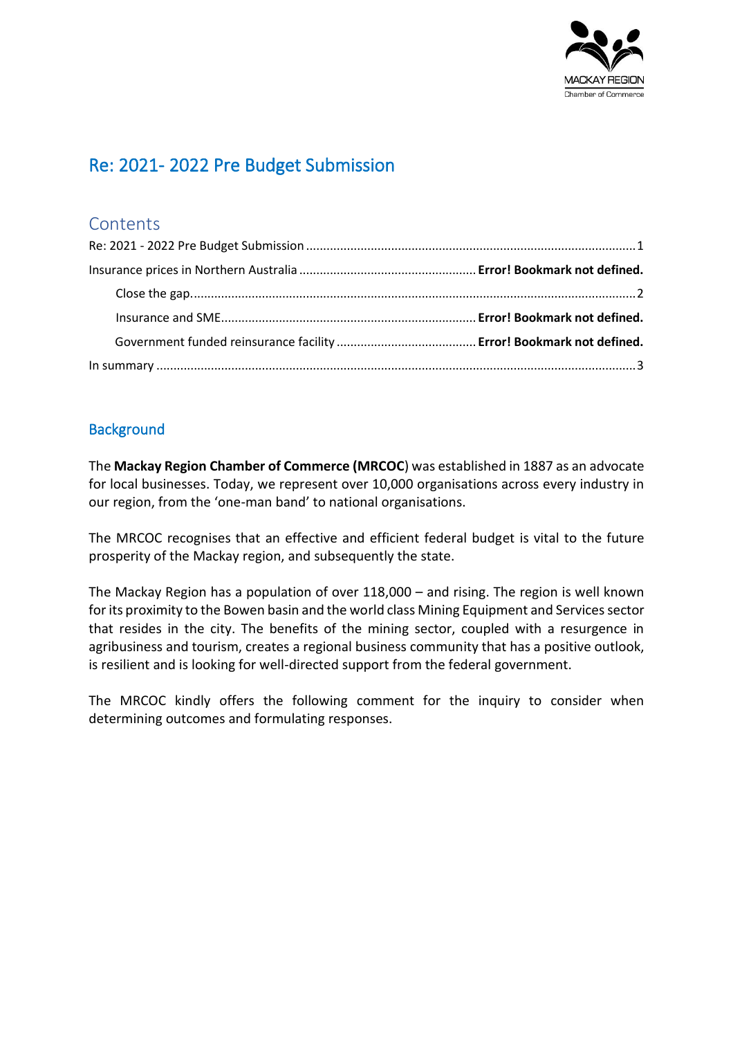

# <span id="page-0-0"></span>Re: 2021- 2022 Pre Budget Submission

## **Contents**

### **Background**

The **Mackay Region Chamber of Commerce (MRCOC**) was established in 1887 as an advocate for local businesses. Today, we represent over 10,000 organisations across every industry in our region, from the 'one-man band' to national organisations.

The MRCOC recognises that an effective and efficient federal budget is vital to the future prosperity of the Mackay region, and subsequently the state.

The Mackay Region has a population of over 118,000 – and rising. The region is well known for its proximity to the Bowen basin and the world class Mining Equipment and Services sector that resides in the city. The benefits of the mining sector, coupled with a resurgence in agribusiness and tourism, creates a regional business community that has a positive outlook, is resilient and is looking for well-directed support from the federal government.

The MRCOC kindly offers the following comment for the inquiry to consider when determining outcomes and formulating responses.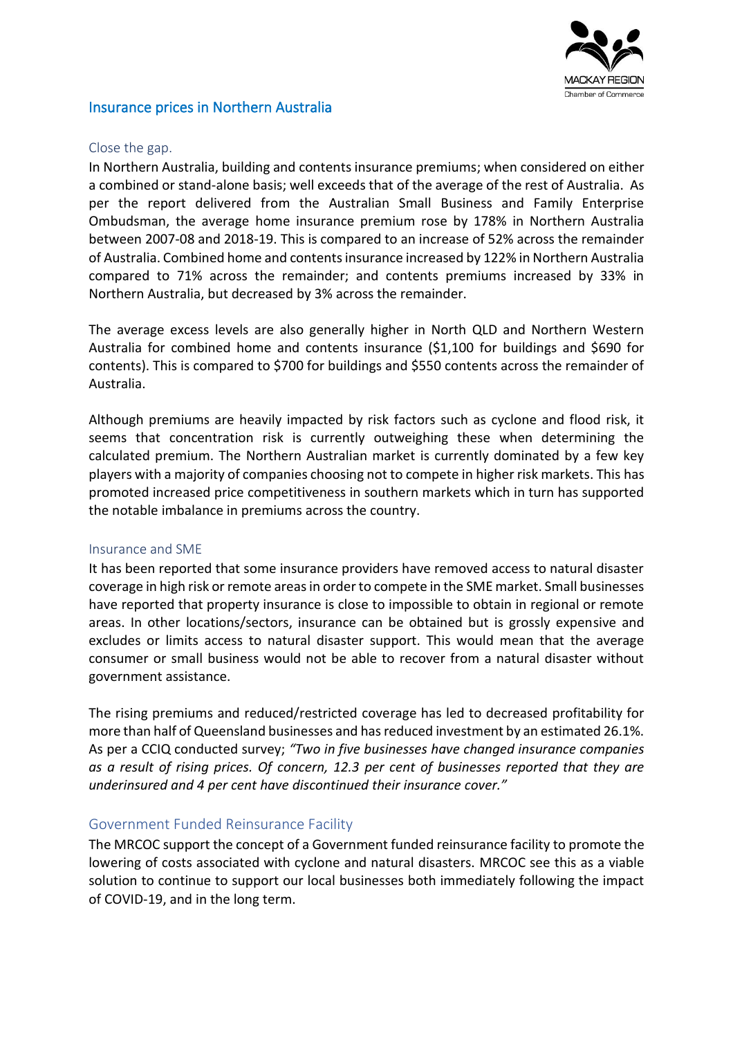

#### Insurance prices in Northern Australia

#### <span id="page-1-0"></span>Close the gap.

In Northern Australia, building and contents insurance premiums; when considered on either a combined or stand-alone basis; well exceeds that of the average of the rest of Australia. As per the report delivered from the Australian Small Business and Family Enterprise Ombudsman, the average home insurance premium rose by 178% in Northern Australia between 2007-08 and 2018-19. This is compared to an increase of 52% across the remainder of Australia. Combined home and contents insurance increased by 122% in Northern Australia compared to 71% across the remainder; and contents premiums increased by 33% in Northern Australia, but decreased by 3% across the remainder.

The average excess levels are also generally higher in North QLD and Northern Western Australia for combined home and contents insurance (\$1,100 for buildings and \$690 for contents). This is compared to \$700 for buildings and \$550 contents across the remainder of Australia.

Although premiums are heavily impacted by risk factors such as cyclone and flood risk, it seems that concentration risk is currently outweighing these when determining the calculated premium. The Northern Australian market is currently dominated by a few key players with a majority of companies choosing not to compete in higher risk markets. This has promoted increased price competitiveness in southern markets which in turn has supported the notable imbalance in premiums across the country.

#### Insurance and SME

It has been reported that some insurance providers have removed access to natural disaster coverage in high risk or remote areas in order to compete in the SME market. Small businesses have reported that property insurance is close to impossible to obtain in regional or remote areas. In other locations/sectors, insurance can be obtained but is grossly expensive and excludes or limits access to natural disaster support. This would mean that the average consumer or small business would not be able to recover from a natural disaster without government assistance.

The rising premiums and reduced/restricted coverage has led to decreased profitability for more than half of Queensland businesses and has reduced investment by an estimated 26.1%. As per a CCIQ conducted survey; *"Two in five businesses have changed insurance companies as a result of rising prices. Of concern, 12.3 per cent of businesses reported that they are underinsured and 4 per cent have discontinued their insurance cover."*

#### Government Funded Reinsurance Facility

The MRCOC support the concept of a Government funded reinsurance facility to promote the lowering of costs associated with cyclone and natural disasters. MRCOC see this as a viable solution to continue to support our local businesses both immediately following the impact of COVID-19, and in the long term.